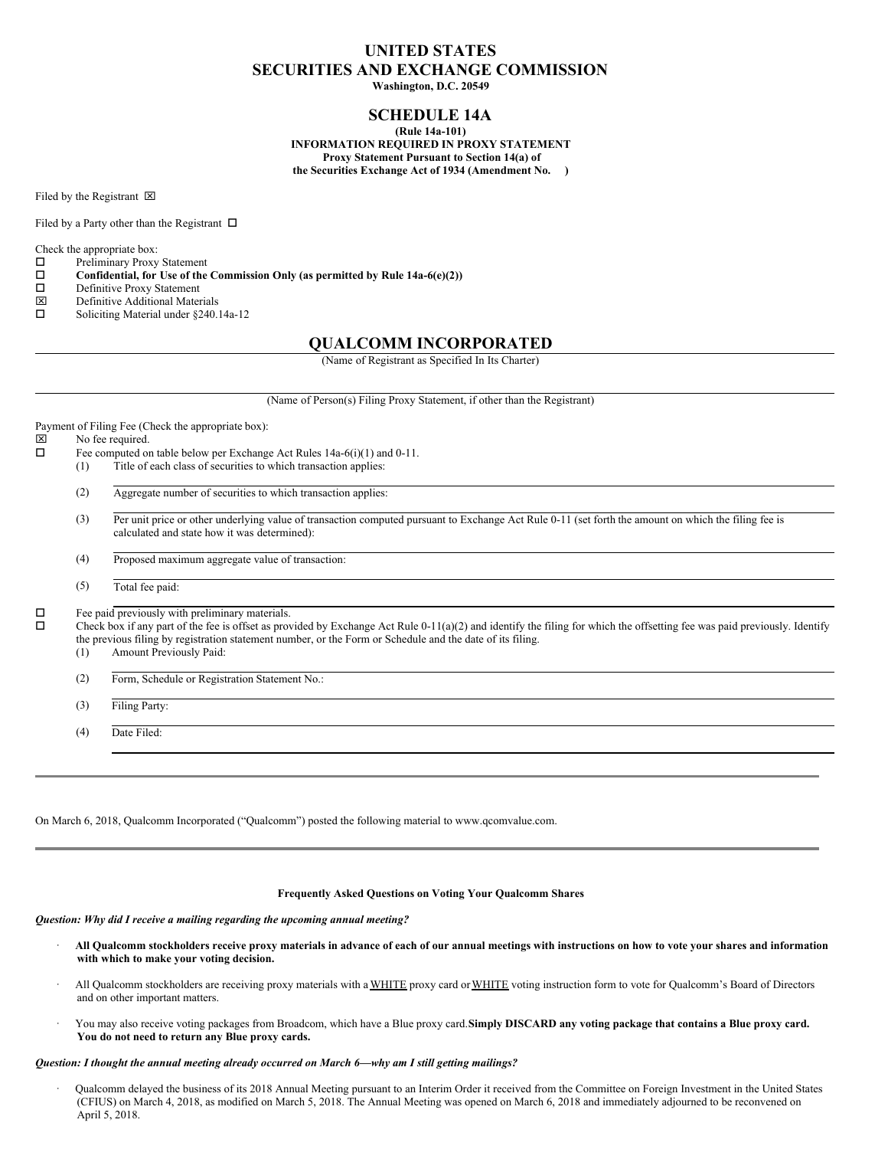# **UNITED STATES SECURITIES AND EXCHANGE COMMISSION**

**Washington, D.C. 20549**

# **SCHEDULE 14A**

**(Rule 14a-101) INFORMATION REQUIRED IN PROXY STATEMENT Proxy Statement Pursuant to Section 14(a) of the Securities Exchange Act of 1934 (Amendment No. )**

Filed by the Registrant  $\boxtimes$ 

Filed by a Party other than the Registrant  $\Box$ 

Check the appropriate box:<br> $\Box$  Preliminary Proxy

- Preliminary Proxy Statement
- $\square$  Confidential, for Use of the Commission Only (as permitted by Rule 14a-6(e)(2))<br> $\square$  Definitive Proxy Statement
- $\Box$  Definitive Proxy Statement<br>  $\nabla$  Definitive Additional Mater
- $\boxtimes$  Definitive Additional Materials<br>  $\square$  Soliciting Material under §240.
- Soliciting Material under §240.14a-12

# **QUALCOMM INCORPORATED**

(Name of Registrant as Specified In Its Charter)

(Name of Person(s) Filing Proxy Statement, if other than the Registrant)

Payment of Filing Fee (Check the appropriate box):

- $\boxtimes$  No fee required.<br> $\Box$  Fee computed or
	- Fee computed on table below per Exchange Act Rules 14a-6(i)(1) and 0-11.
	- (1) Title of each class of securities to which transaction applies:
		- (2) Aggregate number of securities to which transaction applies:
		- (3) Per unit price or other underlying value of transaction computed pursuant to Exchange Act Rule 0-11 (set forth the amount on which the filing fee is calculated and state how it was determined):
		- (4) Proposed maximum aggregate value of transaction:
		- (5) Total fee paid:

 $\square$  Fee paid previously with preliminary materials.<br> $\square$  Check box if any part of the fee is offset as pro-

o Check box if any part of the fee is offset as provided by Exchange Act Rule 0-11(a)(2) and identify the filing for which the offsetting fee was paid previously. Identify the previous filing by registration statement number, or the Form or Schedule and the date of its filing.

- (1) Amount Previously Paid:
- (2) Form, Schedule or Registration Statement No.:
- (3) Filing Party:

(4) Date Filed:

On March 6, 2018, Qualcomm Incorporated ("Qualcomm") posted the following material to www.qcomvalue.com.

### **Frequently Asked Questions on Voting Your Qualcomm Shares**

*Question: Why did I receive a mailing regarding the upcoming annual meeting?*

- All Qualcomm stockholders receive proxy materials in advance of each of our annual meetings with instructions on how to vote your shares and information **with which to make your voting decision.**
- · All Qualcomm stockholders are receiving proxy materials with a WHITE proxy card orWHITE voting instruction form to vote for Qualcomm's Board of Directors and on other important matters.
- You may also receive voting packages from Broadcom, which have a Blue proxy card.Simply DISCARD any voting package that contains a Blue proxy card. **You do not need to return any Blue proxy cards.**

#### *Question: I thought the annual meeting already occurred on March 6—why am I still getting mailings?*

· Qualcomm delayed the business of its 2018 Annual Meeting pursuant to an Interim Order it received from the Committee on Foreign Investment in the United States (CFIUS) on March 4, 2018, as modified on March 5, 2018. The Annual Meeting was opened on March 6, 2018 and immediately adjourned to be reconvened on April 5, 2018.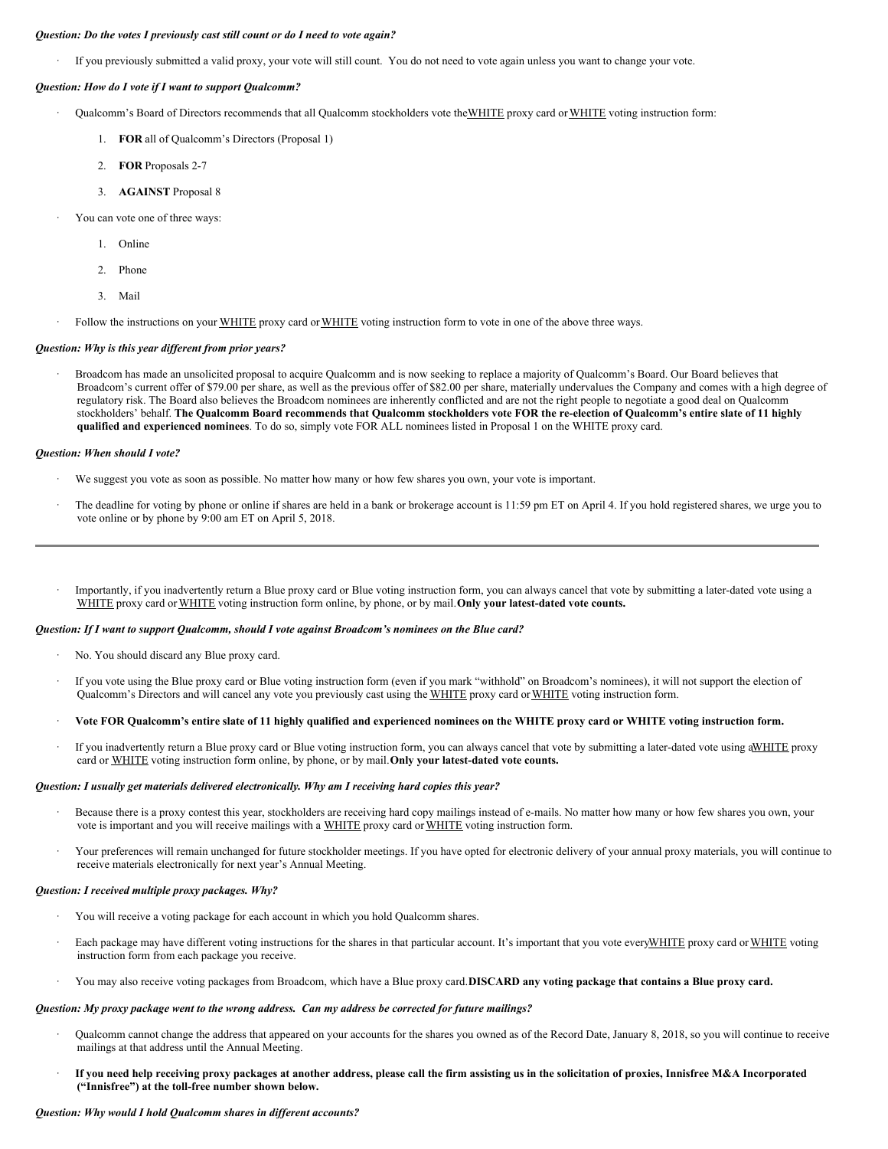#### *Question: Do the votes I previously cast still count or do I need to vote again?*

· If you previously submitted a valid proxy, your vote will still count. You do not need to vote again unless you want to change your vote.

#### *Question: How do I vote if I want to support Qualcomm?*

- Qualcomm's Board of Directors recommends that all Qualcomm stockholders vote the WHITE proxy card or WHITE voting instruction form:
	- 1. **FOR** all of Qualcomm's Directors (Proposal 1)
	- 2. **FOR** Proposals 2-7
	- 3. **AGAINST** Proposal 8
- · You can vote one of three ways:
	- 1. Online
	- 2. Phone
	- 3. Mail
	- Follow the instructions on your WHITE proxy card or WHITE voting instruction form to vote in one of the above three ways.

### *Question: Why is this year dif erent from prior years?*

· Broadcom has made an unsolicited proposal to acquire Qualcomm and is now seeking to replace a majority of Qualcomm's Board. Our Board believes that Broadcom's current offer of \$79.00 per share, as well as the previous offer of \$82.00 per share, materially undervalues the Company and comes with a high degree of regulatory risk. The Board also believes the Broadcom nominees are inherently conflicted and are not the right people to negotiate a good deal on Qualcomm stockholders' behalf. The Qualcomm Board recommends that Qualcomm stockholders vote FOR the re-election of Qualcomm's entire slate of 11 highly **qualified and experienced nominees**. To do so, simply vote FOR ALL nominees listed in Proposal 1 on the WHITE proxy card.

#### *Question: When should I vote?*

- We suggest you vote as soon as possible. No matter how many or how few shares you own, your vote is important.
- The deadline for voting by phone or online if shares are held in a bank or brokerage account is 11:59 pm ET on April 4. If you hold registered shares, we urge you to vote online or by phone by 9:00 am ET on April 5, 2018.
- · Importantly, if you inadvertently return a Blue proxy card or Blue voting instruction form, you can always cancel that vote by submitting a later-dated vote using a WHITE proxy card orWHITE voting instruction form online, by phone, or by mail.**Only your latest-dated vote counts.**

#### *Question: If I want to support Qualcomm, should I vote against Broadcom's nominees on the Blue card?*

- · No. You should discard any Blue proxy card.
- · If you vote using the Blue proxy card or Blue voting instruction form (even if you mark "withhold" on Broadcom's nominees), it will not support the election of Qualcomm's Directors and will cancel any vote you previously cast using the WHITE proxy card or WHITE voting instruction form.
- Vote FOR Qualcomm's entire slate of 11 highly qualified and experienced nominees on the WHITE proxy card or WHITE voting instruction form.
- If you inadvertently return a Blue proxy card or Blue voting instruction form, you can always cancel that vote by submitting a later-dated vote using aWHITE proxy card or WHITE voting instruction form online, by phone, or by mail.**Only your latest-dated vote counts.**

#### *Question: I usually get materials delivered electronically. Why am I receiving hard copies this year?*

- Because there is a proxy contest this year, stockholders are receiving hard copy mailings instead of e-mails. No matter how many or how few shares you own, your vote is important and you will receive mailings with a WHITE proxy card or WHITE voting instruction form.
- · Your preferences will remain unchanged for future stockholder meetings. If you have opted for electronic delivery of your annual proxy materials, you will continue to receive materials electronically for next year's Annual Meeting.

#### *Question: I received multiple proxy packages. Why?*

- You will receive a voting package for each account in which you hold Qualcomm shares.
- Each package may have different voting instructions for the shares in that particular account. It's important that you vote everyWHITE proxy card or WHITE voting instruction form from each package you receive.
- · You may also receive voting packages from Broadcom, which have a Blue proxy card.**DISCARD any voting package that contains a Blue proxy card.**

#### *Question: My proxy package went to the wrong address. Can my address be corrected for future mailings?*

- · Qualcomm cannot change the address that appeared on your accounts for the shares you owned as of the Record Date, January 8, 2018, so you will continue to receive mailings at that address until the Annual Meeting.
- If you need help receiving proxy packages at another address, please call the firm assisting us in the solicitation of proxies, Innisfree M&A Incorporated **("Innisfree") at the toll-free number shown below.**

#### *Question: Why would I hold Qualcomm shares in dif erent accounts?*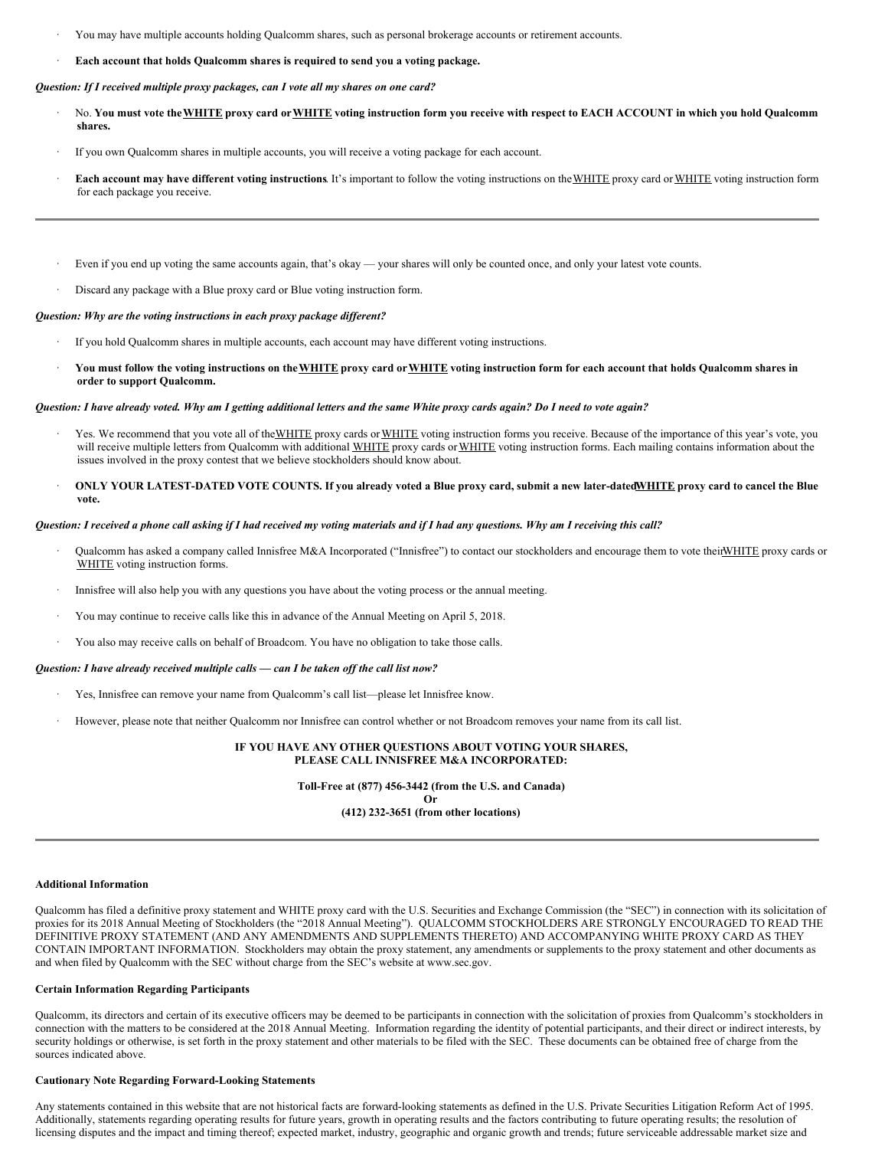- · You may have multiple accounts holding Qualcomm shares, such as personal brokerage accounts or retirement accounts.
- · **Each account that holds Qualcomm shares is required to send you a voting package.**

## *Question: If I received multiple proxy packages, can I vote all my shares on one card?*

- No. You must vote the WHITE proxy card or WHITE voting instruction form you receive with respect to EACH ACCOUNT in which you hold Qualcomm **shares.**
- If you own Qualcomm shares in multiple accounts, you will receive a voting package for each account.
- **Each account may have different voting instructions**. It's important to follow the voting instructions on the WHITE proxy card or WHITE voting instruction form for each package you receive.
- Even if you end up voting the same accounts again, that's okay your shares will only be counted once, and only your latest vote counts.
- Discard any package with a Blue proxy card or Blue voting instruction form.

## *Question: Why are the voting instructions in each proxy package dif erent?*

- If you hold Qualcomm shares in multiple accounts, each account may have different voting instructions.
- You must follow the voting instructions on the WHITE proxy card or WHITE voting instruction form for each account that holds Qualcomm shares in **order to support Qualcomm.**

## Question: I have already voted. Why am I getting additional letters and the same White proxy cards again? Do I need to vote again?

- Yes. We recommend that you vote all of theWHITE proxy cards or WHITE voting instruction forms you receive. Because of the importance of this year's vote, you will receive multiple letters from Qualcomm with additional WHITE proxy cards or WHITE voting instruction forms. Each mailing contains information about the issues involved in the proxy contest that we believe stockholders should know about.
- ONLY YOUR LATEST-DATED VOTE COUNTS. If you already voted a Blue proxy card, submit a new later-dated WHITE proxy card to cancel the Blue **vote.**

# Question: I received a phone call asking if I had received my voting materials and if I had any questions. Why am I receiving this call?

- Qualcomm has asked a company called Innisfree M&A Incorporated ("Innisfree") to contact our stockholders and encourage them to vote theirWHITE proxy cards or WHITE voting instruction forms.
- Innisfree will also help you with any questions you have about the voting process or the annual meeting.
- · You may continue to receive calls like this in advance of the Annual Meeting on April 5, 2018.
- You also may receive calls on behalf of Broadcom. You have no obligation to take those calls.

# *Question: I have already received multiple calls — can I be taken of the call list now?*

- · Yes, Innisfree can remove your name from Qualcomm's call list—please let Innisfree know.
- · However, please note that neither Qualcomm nor Innisfree can control whether or not Broadcom removes your name from its call list.

### **IF YOU HAVE ANY OTHER QUESTIONS ABOUT VOTING YOUR SHARES, PLEASE CALL INNISFREE M&A INCORPORATED:**

**Toll-Free at (877) 456-3442 (from the U.S. and Canada)**

**Or (412) 232-3651 (from other locations)**

## **Additional Information**

Qualcomm has filed a definitive proxy statement and WHITE proxy card with the U.S. Securities and Exchange Commission (the "SEC") in connection with its solicitation of proxies for its 2018 Annual Meeting of Stockholders (the "2018 Annual Meeting"). QUALCOMM STOCKHOLDERS ARE STRONGLY ENCOURAGED TO READ THE DEFINITIVE PROXY STATEMENT (AND ANY AMENDMENTS AND SUPPLEMENTS THERETO) AND ACCOMPANYING WHITE PROXY CARD AS THEY CONTAIN IMPORTANT INFORMATION. Stockholders may obtain the proxy statement, any amendments or supplements to the proxy statement and other documents as and when filed by Qualcomm with the SEC without charge from the SEC's website at www.sec.gov.

# **Certain Information Regarding Participants**

Qualcomm, its directors and certain of its executive officers may be deemed to be participants in connection with the solicitation of proxies from Qualcomm's stockholders in connection with the matters to be considered at the 2018 Annual Meeting. Information regarding the identity of potential participants, and their direct or indirect interests, by security holdings or otherwise, is set forth in the proxy statement and other materials to be filed with the SEC. These documents can be obtained free of charge from the sources indicated above.

# **Cautionary Note Regarding Forward-Looking Statements**

Any statements contained in this website that are not historical facts are forward-looking statements as defined in the U.S. Private Securities Litigation Reform Act of 1995. Additionally, statements regarding operating results for future years, growth in operating results and the factors contributing to future operating results; the resolution of licensing disputes and the impact and timing thereof; expected market, industry, geographic and organic growth and trends; future serviceable addressable market size and